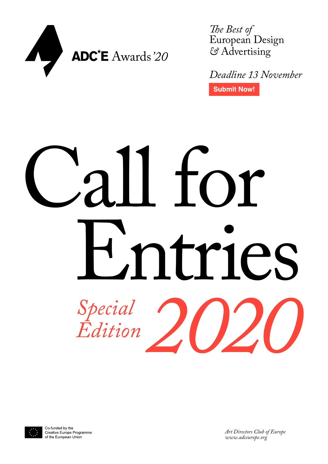

*The Best of*  European Design *&* Advertising

*[Deadline 13](http://adce.submit.to) November* **Submit Now!** 

# Call for Entries *<u>Edition</u> Edition*



Co-funded by the Creative Europe Programme of the European Union

*Art Directors Club of Europe www.adceurope.org*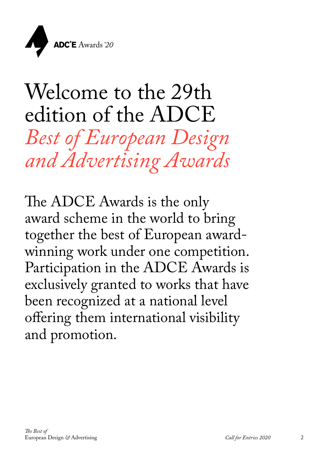

### Welcome to the 29th edition of the ADCE *Best of European Design and Advertising Awards*

The ADCE Awards is the only award scheme in the world to bring together the best of European awardwinning work under one competition. Participation in the ADCE Awards is exclusively granted to works that have been recognized at a national level offering them international visibility and promotion.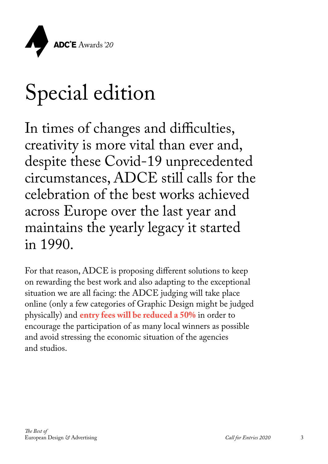

### Special edition

In times of changes and difficulties, creativity is more vital than ever and, despite these Covid-19 unprecedented circumstances, ADCE still calls for the celebration of the best works achieved across Europe over the last year and maintains the yearly legacy it started in 1990.

For that reason, ADCE is proposing different solutions to keep on rewarding the best work and also adapting to the exceptional situation we are all facing: the ADCE judging will take place online (only a few categories of Graphic Design might be judged physically) and **entry fees will be reduced a 50%** in order to encourage the participation of as many local winners as possible and avoid stressing the economic situation of the agencies and studios.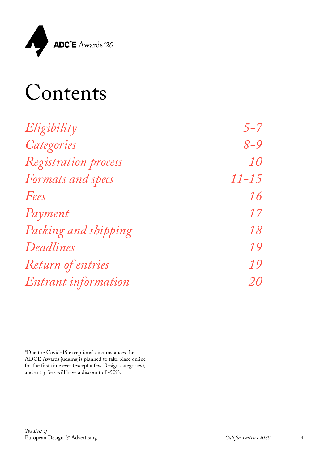

| $5 - 7$   |
|-----------|
| $8 - 9$   |
| <i>10</i> |
| $11 - 15$ |
| <i>16</i> |
| 17        |
| <i>18</i> |
| 19        |
| <i>19</i> |
| <i>20</i> |
|           |

\*Due the Covid-19 exceptional circumstances the ADCE Awards judging is planned to take place online for the first time ever (except a few Design categories), and entry fees will have a discount of -50%.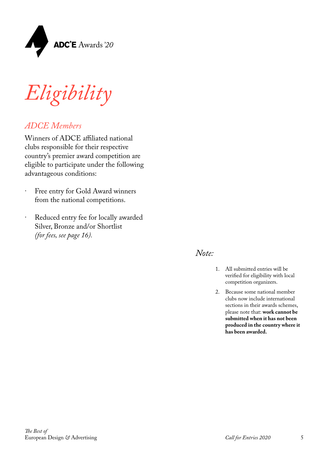

*Eligibility*

### *ADCE Members*

Winners of ADCE affiliated national clubs responsible for their respective country's premier award competition are eligible to participate under the following advantageous conditions:

- · Free entry for Gold Award winners from the national competitions.
- · Reduced entry fee for locally awarded Silver, Bronze and/or Shortlist *(for fees, see page 16).*

### *Note:*

- 1. All submitted entries will be verified for eligibility with local competition organizers.
- 2. Because some national member clubs now include international sections in their awards schemes, please note that: **work cannot be submitted when it has not been produced in the country where it has been awarded.**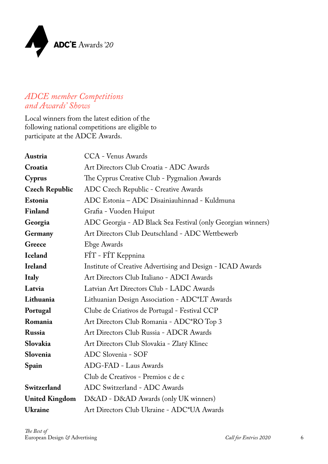

### *ADCE member Competitions and Awards' Shows*

Local winners from the latest edition of the following national competitions are eligible to participate at the ADCE Awards.

| Austria               | <b>CCA</b> - Venus Awards                                   |
|-----------------------|-------------------------------------------------------------|
| Croatia               | Art Directors Club Croatia - ADC Awards                     |
| Cyprus                | The Cyprus Creative Club - Pygmalion Awards                 |
| <b>Czech Republic</b> | ADC Czech Republic - Creative Awards                        |
| Estonia               | ADC Estonia - ADC Disainiauhinnad - Kuldmuna                |
| Finland               | Grafia - Vuoden Huiput                                      |
| Georgia               | ADC Georgia - AD Black Sea Festival (only Georgian winners) |
| Germany               | Art Directors Club Deutschland - ADC Wettbewerb             |
| Greece                | Ebge Awards                                                 |
| <b>Iceland</b>        | FÍT - FÍT Keppnina                                          |
| <b>Ireland</b>        | Institute of Creative Advertising and Design - ICAD Awards  |
| <b>Italy</b>          | Art Directors Club Italiano - ADCI Awards                   |
| Latvia                | Latvian Art Directors Club - LADC Awards                    |
| Lithuania             | Lithuanian Design Association - ADC*LT Awards               |
| Portugal              | Clube de Criativos de Portugal - Festival CCP               |
| Romania               | Art Directors Club Romania - ADC*RO Top 3                   |
| Russia                | Art Directors Club Russia - ADCR Awards                     |
| Slovakia              | Art Directors Club Slovakia - Zlatý Klinec                  |
| Slovenia              | ADC Slovenia - SOF                                          |
| Spain                 | ADG-FAD - Laus Awards                                       |
|                       | Club de Creativos - Premios c de c                          |
| Switzerland           | ADC Switzerland - ADC Awards                                |
| <b>United Kingdom</b> | D&AD - D&AD Awards (only UK winners)                        |
| <b>Ukraine</b>        | Art Directors Club Ukraine - ADC*UA Awards                  |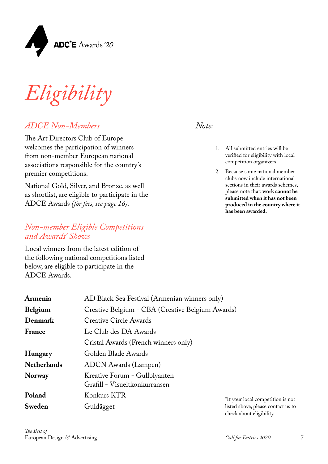

*Eligibility*

### *ADCE Non-Members*

The Art Directors Club of Europe welcomes the participation of winners from non-member European national associations responsible for the country's premier competitions.

National Gold, Silver, and Bronze, as well as shortlist, are eligible to participate in the ADCE Awards *(for fees, see page 16).*

### *Non-member Eligible Competitions and Awards' Shows*

Local winners from the latest edition of the following national competitions listed below, are eligible to participate in the ADCE Awards.

- 1. All submitted entries will be verified for eligibility with local competition organizers.
- 2. Because some national member clubs now include international sections in their awards schemes, please note that: **work cannot be submitted when it has not been produced in the country where it has been awarded.**

| Armenia            | AD Black Sea Festival (Armenian winners only)                  |                |
|--------------------|----------------------------------------------------------------|----------------|
| <b>Belgium</b>     | Creative Belgium - CBA (Creative Belgium Awards)               |                |
| Denmark            | <b>Creative Circle Awards</b>                                  |                |
| France             | Le Club des DA Awards                                          |                |
|                    | Cristal Awards (French winners only)                           |                |
| Hungary            | Golden Blade Awards                                            |                |
| <b>Netherlands</b> | <b>ADCN</b> Awards (Lampen)                                    |                |
| Norway             | Kreative Forum - Gullblyanten<br>Grafill - Visueltkonkurransen |                |
| Poland             | Konkurs KTR                                                    | *If your local |
| Sweden             | Guldägget                                                      | listed above,  |

1 competition is not please contact us to check about eligibility.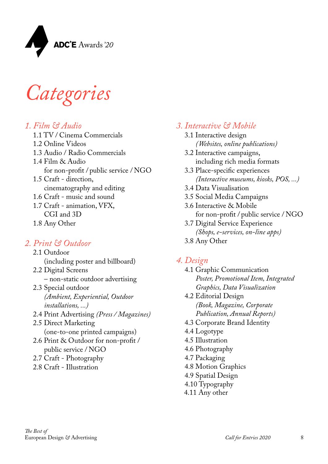

*Categories*

### *1. Film & Audio*

- 1.1 TV / Cinema Commercials
- 1.2 Online Videos
- 1.3 Audio / Radio Commercials
- 1.4 Film & Audio for non-profit / public service / NGO 1.5 Craft - direction,
- cinematography and editing
- 1.6 Craft music and sound
- 1.7 Craft animation, VFX, CGI and 3D
- 1.8 Any Other

### *2. Print & Outdoor*

- 2.1 Outdoor (including poster and billboard) 2.2 Digital Screens – non-static outdoor advertising
- 2.3 Special outdoor *(Ambient, Experiential, Outdoor installations, ...)*
- 2.4 Print Advertising *(Press / Magazines)*
- 2.5 Direct Marketing (one-to-one printed campaigns)
- 2.6 Print & Outdoor for non-profit / public service / NGO
- 2.7 Craft Photography
- 2.8 Craft Illustration

### *3. Interactive & Mobile*

- 3.1 Interactive design *(Websites, online publications)*
- 3.2 Interactive campaigns, including rich media formats
- 3.3 Place-specific experiences *(Interactive museums, kiosks, POS, ...)*
- 3.4 Data Visualisation
- 3.5 Social Media Campaigns
- 3.6 Interactive & Mobile for non-profit / public service / NGO
- 3.7 Digital Service Experience *(Shops, e-services, on-line apps)*
- 3.8 Any Other

### *4. Design*

- 4.1 Graphic Communication *Poster, Promotional Item, Integrated Graphics, Data Visualization*
- 4.2 Editorial Design *(Book, Magazine, Corporate Publication, Annual Reports)*
- 4.3 Corporate Brand Identity
- 4.4 Logotype
- 4.5 Illustration
- 4.6 Photography
- 4.7 Packaging
- 4.8 Motion Graphics
- 4.9 Spatial Design
- 4.10 Typography
- 4.11 Any other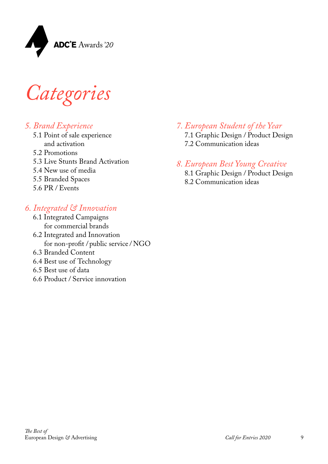

*Categories*

### *5. Brand Experience*

- 5.1 Point of sale experience and activation
- 5.2 Promotions
- 5.3 Live Stunts Brand Activation
- 5.4 New use of media
- 5.5 Branded Spaces
- 5.6 PR / Events

### *6. Integrated & Innovation*

- 6.1 Integrated Campaigns for commercial brands
- 6.2 Integrated and Innovation for non-profit / public service / NGO
- 6.3 Branded Content
- 6.4 Best use of Technology
- 6.5 Best use of data
- 6.6 Product / Service innovation

*7. European Student of the Year*  7.1 Graphic Design / Product Design 7.2 Communication ideas

### *8. European Best Young Creative*

8.1 Graphic Design / Product Design 8.2 Communication ideas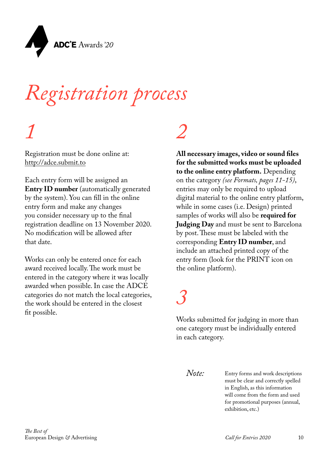

### *Registration process*

### *1*

Registration must be done online at: <http://adce.submit.to>

Each entry form will be assigned an **Entry ID number** (automatically generated by the system). You can fill in the online entry form and make any changes you consider necessary up to the final registration deadline on 13 November 2020. No modification will be allowed after that date.

Works can only be entered once for each award received locally. The work must be entered in the category where it was locally awarded when possible. In case the ADCE categories do not match the local categories, the work should be entered in the closest fit possible.

### *2*

**All necessary images, video or sound files for the submitted works must be uploaded to the online entry platform.** Depending on the category *(see Formats, pages 11-15)*, entries may only be required to upload digital material to the online entry platform, while in some cases (i.e. Design) printed samples of works will also be **required for Judging Day** and must be sent to Barcelona by post. These must be labeled with the corresponding **Entry ID number**, and include an attached printed copy of the entry form (look for the PRINT icon on the online platform).

### *3*

Works submitted for judging in more than one category must be individually entered in each category.

*Note:*

Entry forms and work descriptions must be clear and correctly spelled in English, as this information will come from the form and used for promotional purposes (annual, exhibition, etc.)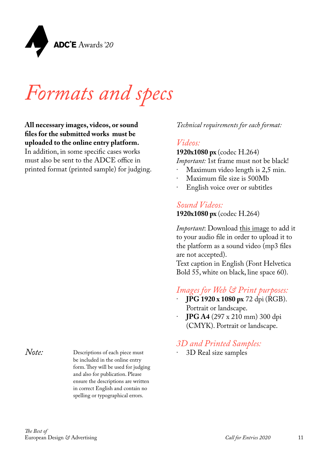

*Formats and specs*

**All necessary images, videos, or sound files for the submitted works must be uploaded to the online entry platform.**  In addition, in some specific cases works must also be sent to the ADCE office in printed format (printed sample) for judging.

*Note:*

Descriptions of each piece must be included in the online entry form. They will be used for judging and also for publication. Please ensure the descriptions are written in correct English and contain no spelling or typographical errors.

*Technical requirements for each format:*

### *Videos:*

**1920x1080 px** (codec H.264)

*Important:* 1st frame must not be black!

- Maximum video length is 2,5 min.
- Maximum file size is 500Mb
- English voice over or subtitles

*Sound Videos:* **1920x1080 px** (codec H.264)

*Important*: Download [this image](https://www.dropbox.com/s/8krahb6lacsffh8/SoundVideo_mp3_Asset.png?dl=0) to add it to your audio file in order to upload it to the platform as a sound video (mp3 files are not accepted).

Text caption in English (Font Helvetica Bold 55, white on black, line space 60).

### *Images for Web & Print purposes:*

- · **JPG 1920 x 1080 px** 72 dpi (RGB). Portrait or landscape.
- · **JPG A4** (297 x 210 mm) 300 dpi (CMYK). Portrait or landscape.

### *3D and Printed Samples:*

· 3D Real size samples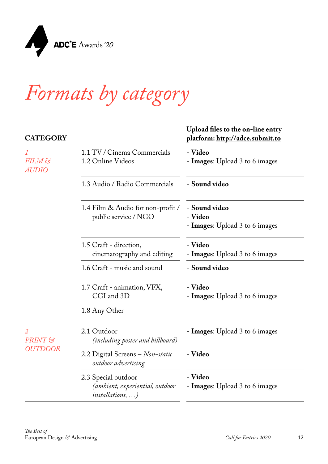

| <b>CATEGORY</b>                                    |                                                                                  | Upload files to the on-line entry<br>platform: <u>http://adce.submit.to</u> |
|----------------------------------------------------|----------------------------------------------------------------------------------|-----------------------------------------------------------------------------|
| $\mathcal I$<br>FILM &<br><i>AUDIO</i>             | 1.1 TV / Cinema Commercials<br>1.2 Online Videos                                 | - Video<br>- <b>Images</b> : Upload 3 to 6 images                           |
|                                                    | 1.3 Audio / Radio Commercials                                                    | - Sound video                                                               |
|                                                    | 1.4 Film & Audio for non-profit /<br>public service / NGO                        | - Sound video<br>- Video<br>- <b>Images</b> : Upload 3 to 6 images          |
|                                                    | 1.5 Craft - direction,<br>cinematography and editing                             | - Video<br>- <b>Images:</b> Upload 3 to 6 images                            |
|                                                    | 1.6 Craft - music and sound                                                      | - Sound video                                                               |
|                                                    | 1.7 Craft - animation, VFX,<br>CGI and 3D                                        | - Video<br>- Images: Upload 3 to 6 images                                   |
|                                                    | 1.8 Any Other                                                                    |                                                                             |
| $\overline{2}$<br><b>PRINT</b> &<br><b>OUTDOOR</b> | 2.1 Outdoor<br>(including poster and billboard)                                  | - Images: Upload 3 to 6 images                                              |
|                                                    | 2.2 Digital Screens - Non-static<br>outdoor advertising                          | - Video                                                                     |
|                                                    | 2.3 Special outdoor<br>(ambient, experiential, outdoor<br><i>installations</i> , | - Video<br>- Images: Upload 3 to 6 images                                   |
|                                                    |                                                                                  |                                                                             |

**Contract** 

 $\sim$  100

 $\mathbb{R}^2$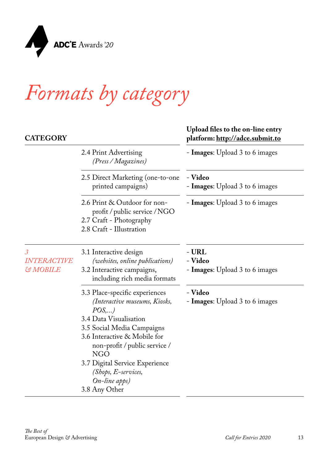

| <b>CATEGORY</b>                                            |                                                                                                                                                                                                                                                                                                             | Upload files to the on-line entry<br>platform: http://adce.submit.to |
|------------------------------------------------------------|-------------------------------------------------------------------------------------------------------------------------------------------------------------------------------------------------------------------------------------------------------------------------------------------------------------|----------------------------------------------------------------------|
|                                                            | 2.4 Print Advertising<br>(Press / Magazines)                                                                                                                                                                                                                                                                | - Images: Upload 3 to 6 images                                       |
|                                                            | 2.5 Direct Marketing (one-to-one<br>printed campaigns)                                                                                                                                                                                                                                                      | - Video<br>- <b>Images:</b> Upload 3 to 6 images                     |
|                                                            | 2.6 Print & Outdoor for non-<br>profit / public service / NGO<br>2.7 Craft - Photography<br>2.8 Craft - Illustration                                                                                                                                                                                        | - <b>Images:</b> Upload 3 to 6 images                                |
| $\mathcal{S}$<br><i>INTERACTIVE</i><br><b>&amp; MOBILE</b> | 3.1 Interactive design<br>(websites, online publications)<br>3.2 Interactive campaigns,<br>including rich media formats                                                                                                                                                                                     | - URL<br>- Video<br>- Images: Upload 3 to 6 images                   |
|                                                            | 3.3 Place-specific experiences<br>(Interactive museums, Kiosks,<br>POS,)<br>3.4 Data Visualisation<br>3.5 Social Media Campaigns<br>3.6 Interactive & Mobile for<br>non-profit / public service /<br><b>NGO</b><br>3.7 Digital Service Experience<br>$(Shops, E-service,$<br>On-line apps)<br>3.8 Any Other | - Video<br>- <b>Images:</b> Upload 3 to 6 images                     |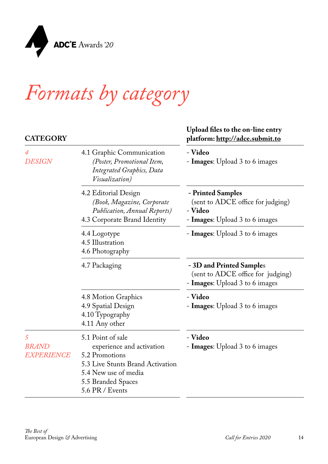

### **CATEGORY**

*4* 

*5*

#### **platform:<http://adce.submit.to>** *DESIGN* 4.1 Graphic Communication *(Poster, Promotional Item, Integrated Graphics, Data Visualization)* - **Video** - **Images**: Upload 3 to 6 images 4.2 Editorial Design *(Book, Magazine, Corporate Publication, Annual Reports)* 4.3 Corporate Brand Identity **- Printed Samples**  (sent to ADCE office for judging) - **Video** - **Images**: Upload 3 to 6 images 4.4 Logotype 4.5 Illustration 4.6 Photography - **Images**: Upload 3 to 6 images 4.7 Packaging **- 3D and Printed Sample**s (sent to ADCE office for judging) - **Images**: Upload 3 to 6 images 4.8 Motion Graphics 4.9 Spatial Design 4.10 Typography 4.11 Any other - **Video** - **Images**: Upload 3 to 6 images *BRAND EXPERIENCE*  5.1 Point of sale experience and activation 5.2 Promotions 5.3 Live Stunts Brand Activation 5.4 New use of media - **Video** - **Images**: Upload 3 to 6 images

- 5.5 Branded Spaces
- 5.6 PR / Events

#### *The Best of*  European Design *&* Advertising

**Upload files to the on-line entry**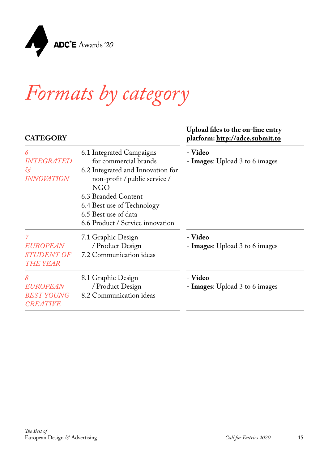

#### **CATEGORY**

#### **Upload files to the on-line entry platform:<http://adce.submit.to>**

| 6<br><b>INTEGRATED</b><br>හි<br>INNOVATION              | 6.1 Integrated Campaigns<br>for commercial brands<br>6.2 Integrated and Innovation for<br>non-profit / public service /<br><b>NGO</b><br>6.3 Branded Content<br>6.4 Best use of Technology<br>6.5 Best use of data<br>6.6 Product / Service innovation | - Video<br>- <b>Images:</b> Upload 3 to 6 images |
|---------------------------------------------------------|--------------------------------------------------------------------------------------------------------------------------------------------------------------------------------------------------------------------------------------------------------|--------------------------------------------------|
| <i>EUROPEAN</i><br><b>STUDENT OF</b><br><b>THE YEAR</b> | 7.1 Graphic Design<br>/ Product Design<br>7.2 Communication ideas                                                                                                                                                                                      | - Video<br>- <b>Images:</b> Upload 3 to 6 images |
| 8<br>EUROPEAN<br><b>BESTYOUNG</b><br><b>CREATIVE</b>    | 8.1 Graphic Design<br>/ Product Design<br>8.2 Communication ideas                                                                                                                                                                                      | - Video<br>- <b>Images:</b> Upload 3 to 6 images |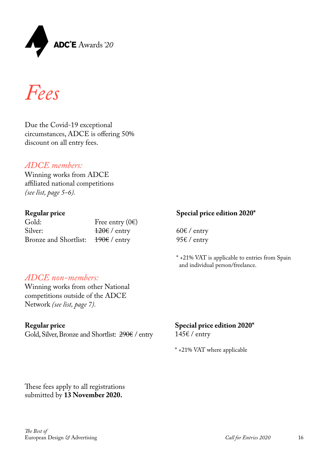

*Fees*

Due the Covid-19 exceptional circumstances, ADCE is offering 50% discount on all entry fees.

#### *ADCE members:*

Winning works from ADCE affiliated national competitions *(see list, page 5-6).*

#### **Regular price**

| Gold:                                      | Free entry $(0)$        |
|--------------------------------------------|-------------------------|
| Silver:                                    | <del>120€</del> / entry |
| Bronze and Shortlist: $190 \in \ell$ entry |                         |

### **Special price edition 2020\***

 $60 \text{E}$  / entry 95€ / entry

\* +21% VAT is applicable to entries from Spain and individual person/freelance.

### *ADCE non-members:*

Winning works from other National competitions outside of the ADCE Network *(see list, page 7).*

#### **Regular price**

Gold, Silver, Bronze and Shortlist: 290€ / entry

#### **Special price edition 2020\*** 145€ / entry

\* +21% VAT where applicable

These fees apply to all registrations submitted by **13 November 2020.**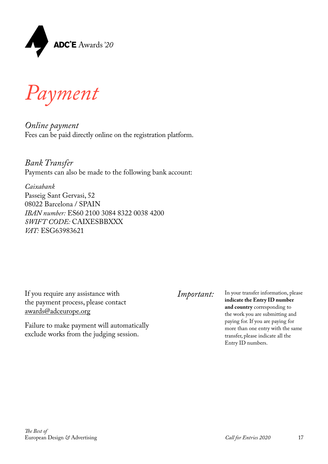

*Payment*

*Online payment* Fees can be paid directly online on the registration platform.

*Bank Transfer* Payments can also be made to the following bank account:

*Caixabank* Passeig Sant Gervasi, 52 08022 Barcelona / SPAIN *IBAN number:* ES60 2100 3084 8322 0038 4200 *SWIFT CODE:* CAIXESBBXXX *VAT:* ESG63983621

If you require any assistance with *Important:* the payment process, please contact [awards@adceurope.org](mailto:awards%40adceurope.org?subject=)

Failure to make payment will automatically exclude works from the judging session.

In your transfer information, please **indicate the Entry ID number and country** corresponding to the work you are submitting and paying for. If you are paying for more than one entry with the same transfer, please indicate all the Entry ID numbers.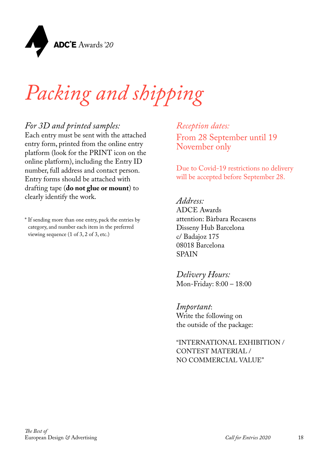

### *Packing and shipping*

### *For 3D and printed samples:*

Each entry must be sent with the attached entry form, printed from the online entry platform (look for the PRINT icon on the online platform), including the Entry ID number, full address and contact person. Entry forms should be attached with drafting tape (**do not glue or mount**) to clearly identify the work.

\* If sending more than one entry, pack the entries by category, and number each item in the preferred viewing sequence (1 of 3, 2 of 3, etc.)

*Reception dates:* From 28 September until 19 November only

Due to Covid-19 restrictions no delivery will be accepted before September 28.

#### *Address:*

ADCE Awards attention: Bàrbara Recasens Disseny Hub Barcelona c/ Badajoz 175 08018 Barcelona SPAIN

*Delivery Hours:* Mon-Friday: 8:00 – 18:00

*Important*: Write the following on the outside of the package:

"INTERNATIONAL EXHIBITION / CONTEST MATERIAL / NO COMMERCIAL VALUE"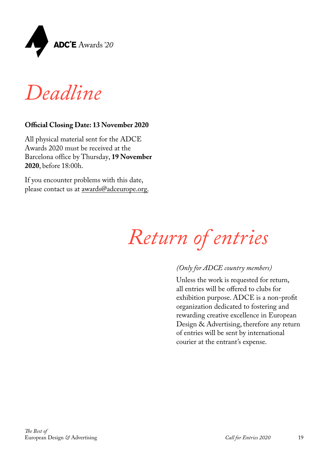

*Deadline*

### **Official Closing Date: 13 November 2020**

All physical material sent for the ADCE Awards 2020 must be received at the Barcelona office by Thursday, **19 November 2020**, before 18:00h.

If you encounter problems with this date, please contact us at [awards@adceurope.org.](mailto:awards%40adceurope.org.?subject=)



#### *(Only for ADCE country members)*

Unless the work is requested for return, all entries will be offered to clubs for exhibition purpose. ADCE is a non-profit organization dedicated to fostering and rewarding creative excellence in European Design & Advertising, therefore any return of entries will be sent by international courier at the entrant's expense.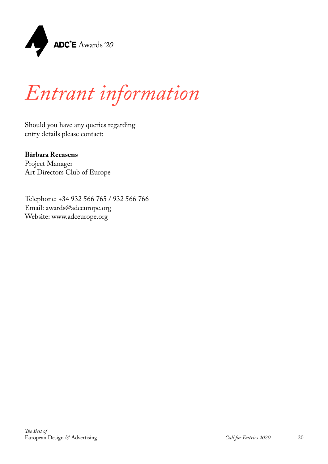

### *Entrant information*

Should you have any queries regarding entry details please contact:

### **Bàrbara Recasens**

Project Manager Art Directors Club of Europe

Telephone: +34 932 566 765 / 932 566 766 Email: [awards@adceurope.org](mailto:awards%40adceurope.org?subject=) Website: [www.adceurope.org](http://www.adceurope.org)